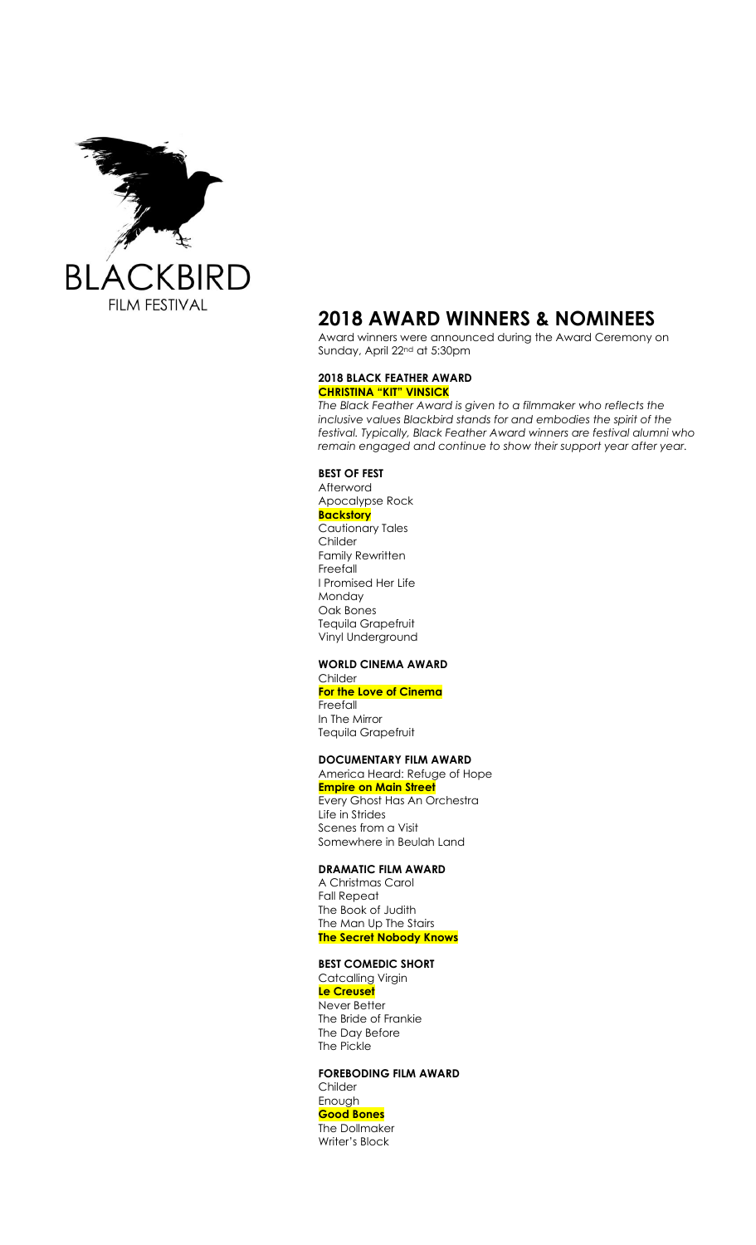

# **2018 AWARD WINNERS & NOMINEES**

Award winners were announced during the Award Ceremony on Sunday, April 22nd at 5:30pm

#### **2018 BLACK FEATHER AWARD CHRISTINA "KIT" VINSICK**

*The Black Feather Award is given to a filmmaker who reflects the inclusive values Blackbird stands for and embodies the spirit of the festival. Typically, Black Feather Award winners are festival alumni who remain engaged and continue to show their support year after year.*

### **BEST OF FEST**

Afterword Apocalypse Rock **Backstory** Cautionary Tales Childer Family Rewritten Freefall I Promised Her Life Monday Oak Bones Tequila Grapefruit Vinyl Underground

# **WORLD CINEMA AWARD**

Childer **For the Love of Cinema** Freefall In The Mirror Tequila Grapefruit

# **DOCUMENTARY FILM AWARD**

America Heard: Refuge of Hope **Empire on Main Street** Every Ghost Has An Orchestra Life in Strides

Scenes from a Visit Somewhere in Beulah Land

## **DRAMATIC FILM AWARD**

A Christmas Carol Fall Repeat The Book of Judith The Man Up The Stairs **The Secret Nobody Knows**

# **BEST COMEDIC SHORT**

**Catcalling Virgin Le Creuset** Never Better The Bride of Frankie The Day Before The Pickle

**FOREBODING FILM AWARD** Childer Enough **Good Bones** The Dollmaker Writer's Block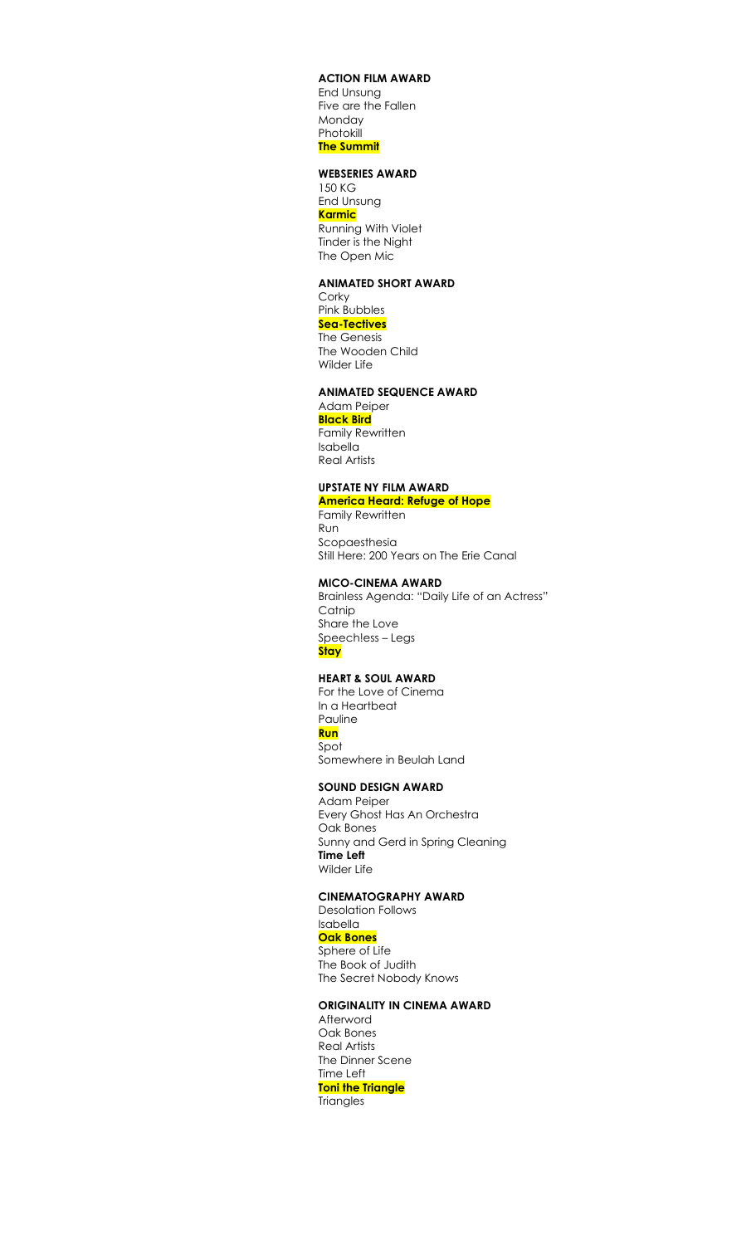#### **ACTION FILM AWARD**

End Unsung Five are the Fallen Monday **Photokill The Summit**

#### **WEBSERIES AWARD**

150 KG End Unsung **Karmic** Running With Violet Tinder is the Night The Open Mic

### **ANIMATED SHORT AWARD**

**Corky** Pink Bubbles **Sea-Tectives** The Genesis The Wooden Child Wilder Life

# **ANIMATED SEQUENCE AWARD**

Adam Peiper **Black Bird**

Family Rewritten Isabella

Real Artists

### **UPSTATE NY FILM AWARD**

**America Heard: Refuge of Hope** Family Rewritten Run

Scopaesthesia Still Here: 200 Years on The Erie Canal

### **MICO-CINEMA AWARD**

Brainless Agenda: "Daily Life of an Actress" **Catnip** Share the Love Speech!ess – Legs **Stay**

## **HEART & SOUL AWARD**

For the Love of Cinema In a Heartbeat Pauline **Run** Spot

Somewhere in Beulah Land

#### **SOUND DESIGN AWARD**

Adam Peiper Every Ghost Has An Orchestra Oak Bones Sunny and Gerd in Spring Cleaning **Time Left** Wilder Life

### **CINEMATOGRAPHY AWARD**

Desolation Follows Isabella **Oak Bones** Sphere of Life The Book of Judith The Secret Nobody Knows

# **ORIGINALITY IN CINEMA AWARD**

Afterword Oak Bones Real Artists The Dinner Scene Time Left **Toni the Triangle Triangles**